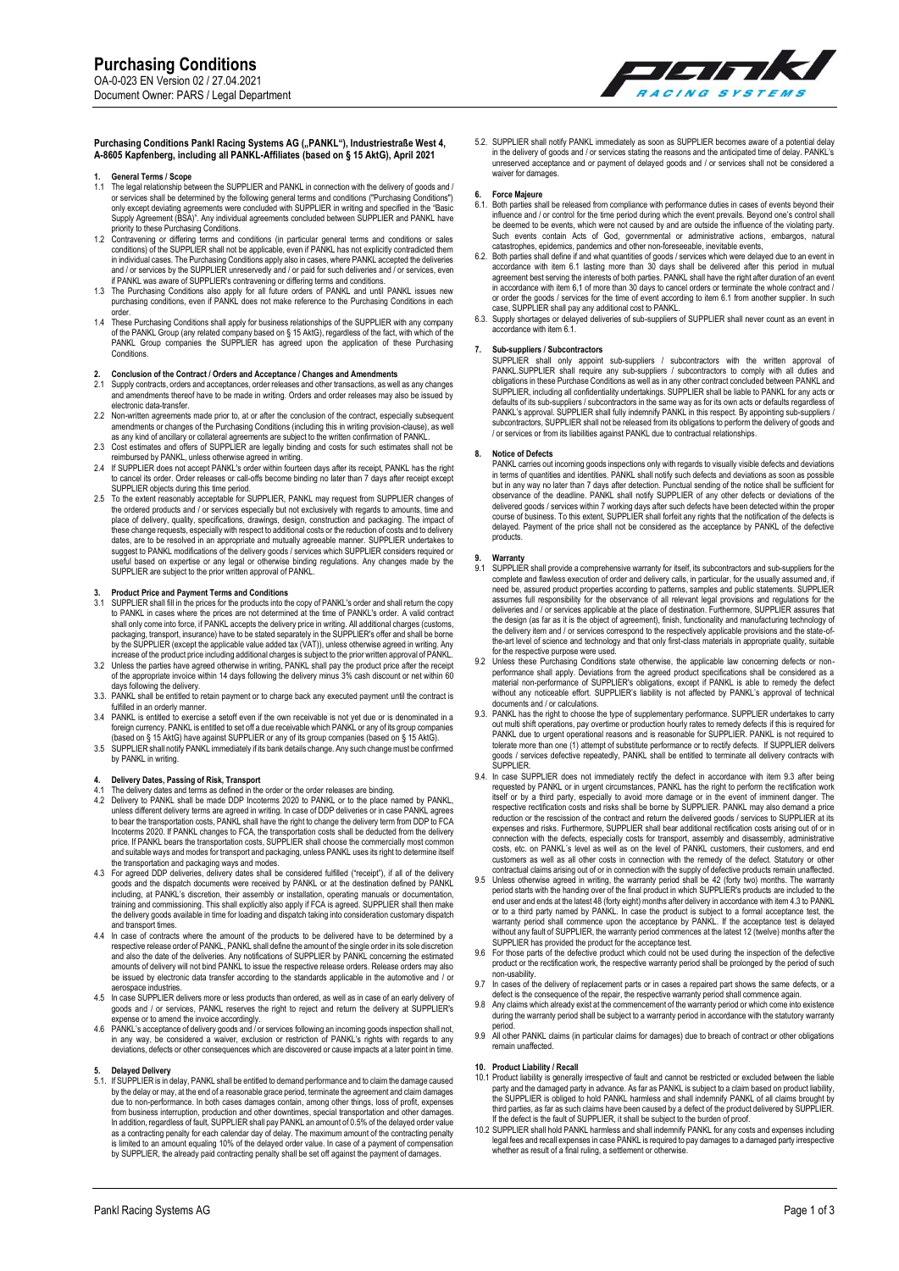

# Purchasing Conditions Pankl Racing Systems AG ("PANKL"), Industriestraße West 4, **A-8605 Kapfenberg, including all PANKL-Affiliates (based on § 15 AktG), April 2021**

- **1. General Terms / Scope**  1.1 The legal relationship between the SUPPLIER and PANKL in connection with the delivery of goods and / or services shall be determined by the following general terms and conditions ("Purchasing Conditions")<br>only except deviating agreements were concluded with SUPPLIER in writing and specified in the "Basic<br>Supply Agreement
- priority to these Purchasing Conditions.<br>1.2 Contravening or differing terms and conditions (in particular general terms and conditions or sales<br>conditions) of the SUPPLIER shall not be applicable, even if PANKL has not ex in individual cases. The Purchasing Conditions apply also in cases, where PANKL accepted the deliveries and / or services by the SUPPLIER unreservedly and / or paid for such deliveries and / or services, even
- if PANKL was aware of SUPPLIER's contravening or differing terms and conditions.<br>1.3 The Purchasing Conditions also apply for all future orders of PANKL and until PANKL issues new<br>"purchasing conditions, even if PANKL does
- order. 1.4 These Purchasing Conditions shall apply for business relationships of the SUPPLIER with any company of the PANKL Group (any related company based on § 15 AktG), regardless of the fact, with which of the PANKL Group companies the SUPPLIER has agreed upon the application of these Purchasing **Conditions**

## **2. Conclusion of the Contract / Orders and Acceptance / Changes and Amendments**

- 2.1 Supply contracts, orders and acceptances, order releases and other transactions, as well as any changes and amendments thereof have to be made in writing. Orders and order releases may also be issued by electronic data-transfer.
- Non-written agreements made prior to, at or after the conclusion of the contract, especially subsequent
- amendments or changes of the Purchasing Conditions (including this in writing provision-clause), as well<br>as any kind of ancillary or collateral agreements are subject to the written confirmation of PANKL.<br>2.3 Cost estimate
- to cancel its order. Order releases or call-offs become binding no later than 7 days after receipt except SUPPLIER objects during this time period.
- 2.5 To the extent reasonably acceptable for SUPPLIER, PANKL may request from SUPPLIER changes of the ordered products and / or services especially but not exclusively with regards to amounts, time and place of delivery, quality, specifications, drawings, design, construction and packaging. The impact of these change requests, especially with respect to additional costs or the reduction of costs and to delivery dates, are to be resolved in an appropriate and mutually agreeable manner. SUPPLIER undertakes to suggest to PANKL modifications of the delivery goods / services which SUPPLIER considers required or useful based on expertise or any legal or otherwise binding regulations. Any changes made by the SUPPLIER are subject to the prior written approval of PANKL.

# **3. Product Price and Payment Terms and Conditions**

- 3.1 SUPPLIER shall fill in the prices for the products into the copy of PANKL's order and shall return the copy<br>to PANKL in cases where the prices are not determined at the time of PANKL's order. A valid contract<br>shall onl packaging, transport, insurance) have to be stated separately in the SUPPLIER's offer and shall be borne by the SUPPLIER (except the applicable value added tax (VAT)), unless otherwise agreed in writing. Any
- increase of the product price including additional charges is subject to the prior written approval of PANKL. 3.2 Unless the parties have agreed otherwise in writing, PANKL shall pay the product price after the receipt of the appropriate invoice within 14 days following the delivery minus 3% cash discount or net within 60 propriate instate.
- 3.3. PANKL shall be entitled to retain payment or to charge back any executed payment until the contract is fulfilled in an orderly manner.
- 3.4 PANKL is entitled to exercise a setoff even if the own receivable is not yet due or is denominated in a foreign currency. PANKL is entitled to set off a due receivable which PANKL or any of its group companies (based on § 15 AktG) have against SUPPLIER or any of its group companies (based on § 15 AktG).
- 3.5 SUPPLIER shall notify PANKL immediately if its bank details change. Any such change must be confirmed by PANKL in writing.

# **4. Delivery Dates, Passing of Risk, Transport**

- 
- 4.1 The delivery dates and terms as defined in the order or the order releases are binding.<br>4.2 Delivery to PANKL shall be made DDP Incoterms 2020 to PANKL or to the place named by PANKL,<br>unless different delivery terms ar to bear the transportation costs, PANKL shall have the right to change the delivery term from DDP to FCA<br>Incoterms 2020. If PANKL changes to FCA, the transportation costs shall be deducted from the delivery<br>price. If PANKL
- the transportation and packaging ways and modes. 4.3 For agreed DDP deliveries, delivery dates shall be considered fulfilled ("receipt"), if all of the delivery goods and the dispatch documents were received by PANKL or at the destination defined by PANKL<br>including, at PANKL's discretion, their assembly or installation, operating manuals or documentation,<br>training and commissionin and transport times.
- 4.4 In case of contracts where the amount of the products to be delivered have to be determined by a respective release order of PANKL, PANKL shall define the amount of the single order in its sole discretion and also the date of the deliveries. Any notifications of SUPPLIER by PANKL concerning the estimated amounts of delivery will not bind PANKL to issue the respective release orders. Release orders may also be issued by electronic data transfer according to the standards applicable in the automotive and / or aerospace industries.
- 4.5 In case SUPPLIER delivers more or less products than ordered, as well as in case of an early delivery of goods and / or services, PANKL reserves the right to reject and return the delivery at SUPPLIER's
- expense or to amend the invoice accordingly.<br>4.6 PANKL's acceptance of delivery goods and / or services following an incoming goods inspection shall not,<br>in any way, be considered a waiver, exclusion or restriction of PANK deviations, defects or other consequences which are discovered or cause impacts at a later point in time.

**5. Delayed Delivery**  5.1. If SUPPLIER is in delay, PANKL shall be entitled to demand performance and to claim the damage caused by the delay or may, at the end of a reasonable grace period, terminate the agreement and claim damages due to non-performance. In both cases damages contain, among other things, loss of profit, expenses from business interruption, production and other downtimes, special transportation and other damages. In addition, regardless of fault, SUPPLIER shall pay PANKL an amount of 0.5% of the delayed order value as a contracting penalty for each calendar day of delay. The maximum amount of the contracting penalty<br>is limited to an amount equaling 10% of the delayed order value. In case of a payment of compensation<br>by SUPPLIER, the 5.2. SUPPLIER shall notify PANKL immediately as soon as SUPPLIER becomes aware of a potential delay in the delivery of goods and / or services stating the reasons and the anticipated time of delay. PANKL's unreserved acceptance and or payment of delayed goods and / or services shall not be considered a waiver for damages

## **6. Force Majeure**

- 6.1. Both parties shall be released from compliance with performance duties in cases of events beyond their influence and / or control for the time period during which the event prevails. Beyond one's control shall be deemed to be events, which were not caused by and are outside the influence of the violating party. Such events contain Acts of God, governmental or administrative actions, embargos, natural<br>catastrophes, epidemics, pandemics and other non-foreseeable, inevitable events,
- 6.2. Both parties shall define if and what quantities of goods / services which were delayed due to an event in accordance with item 6.1 lasting more than 30 days shall be delivered after this period in mutual agreement be or order the goods / services for the time of event according to item 6.1 from another supplier. In such case, SUPPLIER shall pay any additional cost to PANKL.
- 6.3. Supply shortages or delayed deliveries of sub-suppliers of SUPPLIER shall never count as an event in accordance with item 6.1.

**7. Sub-suppliers / Subcontractors** SUPPLIER shall only appoint sub-suppliers / subcontractors with the written approval of PANKL.SUPPLIER shall require any sub-suppliers / subcontractors to comply with all duties and<br>obligations in these Purchase Conditions as well as in any other contract concluded between PANKL and<br>SUPPLIER, including all co subcontractors, SUPPLIER shall not be released from its obligations to perform the delivery of goods and / or services or from its liabilities against PANKL due to contractual relationships.

## **8. Notice of Defects**

PANKL carries out incoming goods inspections only with regards to visually visible defects and deviations in terms of quantities and identities. PANKL shall notify such defects and deviations as soon as possible but in any way no later than 7 days after detection. Punctual sending of the notice shall be sufficient for observance of the deadline. PANKL shall notify SUPPLIER of any other defects or deviations of the delivered goods / services within 7 working days after such defects have been detected within the proper course of business. To this extent, SUPPLIER shall forfeit any rights that the notification of the defects is delayed. Payment of the price shall not be considered as the acceptance by PANKL of the defective products.

### **9. Warranty**

- 9.1 SUPPLIER shall provide a comprehensive warranty for itself, its subcontractors and sub-suppliers for the complete and flawless execution of order and delivery calls, in particular, for the usually assumed and, if need be, assured product properties according to patterns, samples and public statements. SUPPLIER assumes full responsibility for the observance of all relevant legal provisions and regulations for the deliveries and / or services applicable at the place of destination. Furthermore, SUPPLIER assures that the design (as far as it is the object of agreement), finish, functionality and manufacturing technology of<br>the delivery item and / or services correspond to the respectively applicable provisions and the state-of-<br>the-art for the respective purpose were used.
- 9.2 Unless these Purchasing Conditions state otherwise, the applicable law concerning defects or nonperformance shall apply. Deviations from the agreed product specifications shall be considered as a<br>material non-performance of SUPPLIER's obligations, except if PANKL is able to remedy the defect<br>without any noticeable ef documents and / or calculations.
- 9.3. PANKL has the right to choose the type of supplementary performance. SUPPLIER undertakes to carry<br>out multi shift operations, pay overtime or production hourly rates to remedy defects if this is required for<br>PANKL due tolerate more than one (1) attempt of substitute performance or to rectify defects. If SUPPLIER delivers goods / services defective repeatedly, PANKL shall be entitled to terminate all delivery contracts with SUPPLIER.
- 9.4. In case SUPPLIER does not immediately rectify the defect in accordance with item 9.3 after being requested by PANKL or in urgent circumstances, PANKL has the right to perform the rectification work itself or by a third party, especially to avoid more damage or in the event of imminent danger. The respective rectification costs and risks shall be borne by SUPPLIER. PANKL may also demand a price reduction or the rescission of the contract and return the delivered goods / services to SUPPLIER at its expenses and risks. Furthermore, SUPPLIER shall bear additional rectification costs arising out of or in connection with the defects, especially costs for transport, assembly and disassembly, administrative costs, etc. on PANKL´s level as well as on the level of PANKL customers, their customers, and end customers as well as all other costs in connection with the remedy of the defect. Statutory or other contractual claims arising out of or in connection with the supply of defective products remain unaffected.
- 9.5 Unless otherwise agreed in writing, the warranty period shall be 42 (forty two) months. The warranty period sharts with the handing over of the final product in which SUPPLIER's products are included to the end user an
- SUPPLIER has provided the product for the acceptance test. 9.6 For those parts of the defective product which could not be used during the inspection of the defective product or the rectification work, the respective warranty period shall be prolonged by the period of such
- non-usability. 9.7 In cases of the delivery of replacement parts or in cases a repaired part shows the same defects, or a defect is the consequence of the repair, the respective warranty period shall commence again. 9.8 Any claims which already exist at the commencement of the warranty period or which come into existence
- during the warranty period shall be subject to a warranty period in accordance with the statutory warranty
- period. 9.9 All other PANKL claims (in particular claims for damages) due to breach of contract or other obligations remain unaffected

# **10. Product Liability / Recall**

- 10.1 Product liability is generally irrespective of fault and cannot be restricted or excluded between the liable<br>party and the damaged party and the gaing party and the party and the gaing between the stupple of the SUPPL third parties, as far as such claims have been caused by a defect of the product delivered by SUPPLIER.<br>If the defect is the fault of SUPPLIER, it shall be subject to the burden of proof.
- 10.2 SUPPLIER shall hold PANKL harmless and shall indemnify PANKL for any costs and expenses including<br>legal fees and recall expenses in case PANKL is required to pay damages to a damaged party irrespective<br>whether as resu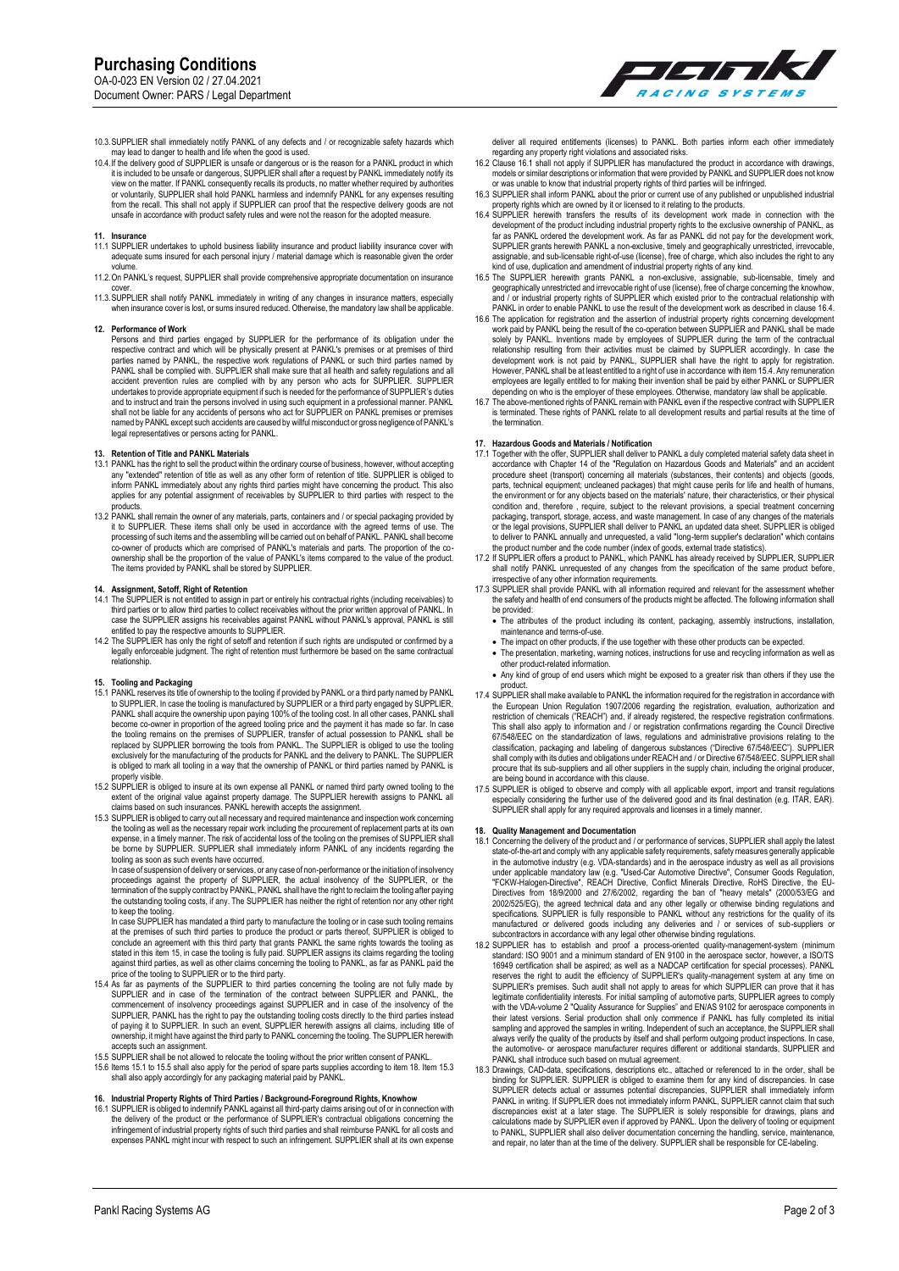

10.3.SUPPLIER shall immediately notify PANKL of any defects and / or recognizable safety hazards which<br>may lead to danger to health and life when the good is used.<br>10.4. If the delivery good of SUPPLIER is unsafe or danger or voluntarily, SUPPLIER shall hold PANKL harmless and indemnify PANKL for any expenses resulting from the recall. This shall not apply if SUPPLIER can proof that the respective delivery goods are not unsafe in accordance with product safety rules and were not the reason for the adopted measure.

- **11. Insurance** 11.1 SUPPLIER undertakes to uphold business liability insurance and product liability insurance cover with adequate sums insured for each personal injury / material damage which is reasonable given the order volume.
- 11.2.On PANKL's request, SUPPLIER shall provide comprehensive appropriate documentation on insurance
- cover. 11.3.SUPPLIER shall notify PANKL immediately in writing of any changes in insurance matters, especially when insurance cover is lost, or sums insured reduced. Otherwise, the mandatory law shall be applicable.

# **12. Performance of Work**

Persons and third parties engaged by SUPPLIER for the performance of its obligation under the respective contract and which will be physically present at PANKL's premises or at premises of third parties named by PANKL, the respective work regulations of PANKL or such third parties named by PANKL shall be complied with. SUPPLIER shall make sure that all health and safety regulations and all accident prevention rules are complied with by any person who acts for SUPPLIER. SUPPLIER undertakes to provide appropriate equipment if such is needed for the performance of SUPPLIER's duties<br>and to instruct and train the persons involved in using such equipment in a professional manner. PANKL<br>shall not be lia named by PANKL except such accidents are caused by willful misconduct or gross negligence of PANKL's legal representatives or persons acting for PANKL.

# **13. Retention of Title and PANKL Materials**

- 13.1 PANKL has the right to sell the product within the ordinary course of business, however, without accepting any "extended" retention of title as well as any other form of retention of title. SUPPLIER is obliged to inform PANKL immediately about any rights third parties might have concerning the product. This also applies for any potential assignment of receivables by SUPPLIER to third parties with respect to the products.
- 13.2 PANKL shall remain the owner of any materials, parts, containers and / or special packaging provided by it to SUPPLIER. These items shall only be used in accordance with the agreed terms of use. The processing of such items and the assembling will be carried out on behalf of PANKL. PANKL shall become co-owner of products which are comprised of PANKL's materials and parts. The proportion of the coownership shall be the proportion of the value of PANKL's items compared to the value of the product. The items provided by PANKL shall be stored by SUPPLIER.

# **14. Assignment, Setoff, Right of Retention**

- 14.1 The SUPPLIER is not entitled to assign in part or entirely his contractual rights (including receivables) to<br>third parties or to allow third parties to collect receivables without the prior written approval of PANKL.
- legally enforceable judgment. The right of retention must furthermore be based on the same contractual legally enforceable judgment. The right of retention must furthermore be based on the same contractual relationship.

- 15. Tooling and Packaging<br>15.1 PANKL reserves its title of ownership to the tooling if provided by PANKL or a third party named by PANKL<br>to SUPPLIER. In case the tooling is manufactured by SUPPLIER or a third party engag PANKL shall acquire the ownership upon paying 100% of the tooling cost. In all other cases, PANKL shall<br>become co-owner in proportion of the agreed tooling price and the payment it has made so far. In case<br>the tooling rema is obliged to mark all tooling in a way that the ownership of PANKL or third parties named by PANKL is
- properly visible.<br>15.2 SUPPLIER is obliged to insure at its own expense all PANKL or named third party owned tooling to the<br>extent of the original value against property damage. The SUPPLIER herewith assigns to PANKL all<br>c
- the tooling as well as the necessary repair work including the procurement of replacement parts at its own<br>expense, in a timely manner. The risk of accidental loss of the tooling on the premises of SUPPLIER shall<br>be borne tooling as soon as such events have occurred. In case of suspension of delivery or services, or any case of non-performance or the initiation of insolvency

proceedings against the property of SUPPLIER, the actual insolvency of the SUPPLIER, or the termination of the supply contract by PANKL, PANKL shall have the right to reclaim the tooling after paying the outstanding tooling costs, if any. The SUPPLIER has neither the right of retention nor any other right

to keep the tooling.<br>In case SUPPLIER has mandated a third party to manufacture the tooling or in case such tooling remains<br>at the premises of such third parties to produce the product or parts thereof, SUPPLIER is obliged conclude an agreement with this third party that grants PANKL the same rights towards the tooling as<br>stated in this item 15, in case the tooling is fully paid. SUPPLIER assigns its claims regarding the tooling<br>against thir price of the tooling to SUPPLIER or to the third party. 15.4 As far as payments of the SUPPLIER to third parties concerning the tooling are not fully made by

- SUPPLIER and in case of the termination of the contract between SUPPLIER and PANKL, the commencement of insolvency proceedings against SUPPLIER and in case of the insolvency of the SUPPLIER, PANKL has the right to pay the outstanding tooling costs directly to the third parties instead<br>of paying it to SUPPLIER. In such an event, SUPPLIER herewith assigns all claims, including title of<br>ownership, it mi accepts such an assignment.
- 15.5 SUPPLIER shall be not allowed to relocate the tooling without the prior written consent of PANKL.<br>15.6 Items 15.1 to 15.5 shall also apply for the period of spare parts supplies according to item 18. Item 15.3<br>shall a

# **16. Industrial Property Rights of Third Parties / Background-Foreground Rights, Knowhow**

16.1 SUPPLIER is obliged to indemnify PANKL against all third-party claims arising out of or in connection with the delivery of the product or the performance of SUPPLIER's contractual obligations concerning the infringement of industrial property rights of such third parties and shall reimburse PANKL for all costs and expenses PANKL might incur with respect to such an infringement. SUPPLIER shall at its own expense deliver all required entitlements (licenses) to PANKL. Both parties inform each other immediately

- regarding any property right violations and associated risks.<br>16.2 Clause 16.1 shall not apply if SUPPLIER has manufactured the product in accordance with drawings,<br>models or similar descriptions or information that were p or was unable to know that industrial property rights of third parties will be infringed.
- 
- 16.3 SUPPLIER shall inform PANKL about the prior or current use of any published or unpublished industrial<br>property rights which are owned by it or licensed to it relating to the products.<br>16.4 SUPPLIER herewith transfers
- assignable, and sub-licensable right-of-use (license), free of charge, which also includes the right to any<br>kind of use, duplication and amendment of industrial property rights of any kind.<br>16.5 The SUPPLIER herewith grant PANKL in order to enable PANKL to use the result of the development work as described in clause 16.4.
- 16.6 The application for registration and the assertion of industrial property rights concerning development work paid by PANKL being the result of the co-operation between SUPPLIER and PANKL shall be made<br>solely by PANKL. Inventions made by employees of SUPPLIER during the term of the contractual<br>relationship resulting from thei However, PANKL shall be at least entitled to a right of use in accordance with item 15.4. Any remuneration employees are legally entitled to for making their invention shall be paid by either PANKL or SUPPLIER
- depending on who is the employer of these employees. Otherwise, mandatory law shall be applicable.<br>16.7 The above-mentioned rights of PANKL remain with PANKL even if the respective contract with SUPPLIER<br>is terminated. The the termination.

- **17. Hazardous Goods and Materials / Notification**  17.1 Together with the offer, SUPPLIER shall deliver to PANKL a duly completed material safety data sheet in accordance with Chapter 14 of the "Regulation on Hazardous Goods and Materials" and an accident procedure sheet (transport) concerning all materials (substances, their contents) and objects (goods, parts, technical equipment; uncleaned packages) that might cause perils for life and health of humans, the environment or for any objects based on the materials' nature, their characteristics, or their physical condition and, therefore , require, subject to the relevant provisions, a special treatment concerning<br>packaging, transport, storage, access, and waste management. In case of any changes of the materials<br>or the legal provi
- to deliver to PANKL annually and unrequested, a valid "long-term supplier's declaration" which contains<br>The product number and the code number (index of goods, external trade statistics).<br>The Supplum of the Supplum of the
- irrespective of any other information requirements. 17.3 SUPPLIER shall provide PANKL with all information required and relevant for the assessment whether the safety and health of end consumers of the products might be affected. The following information shall be provided:
	- The attributes of the product including its content, packaging, assembly instructions, installation, maintenance and terms-of-use.
	- The impact on other products, if the use together with these other products can be expected.
	- The presentation, marketing, warning notices, instructions for use and recycling information as well as other product-related information.
	- Any kind of group of end users which might be exposed to a greater risk than others if they use the product.
- 17.4 SUPPLIER shall make available to PANKL the information required for the registration in accordance with the European Union Regulation 1907/2006 regarding the registration, evaluation, authorization and restriction of chemicals ("REACH") and, if already registered, the respective registration confirmations. This shall also apply to information and / or registration confirmations regarding the Council Directive<br>67/548/EEC on the standardization of laws, regulations and administrative provisions relating to the<br>classification, procure that its sub-suppliers and all other suppliers in the supply chain, including the original producer,
- are being bound in accordance with this clause. 17.5 SUPPLIER is obliged to observe and comply with all applicable export, import and transit regulations especially considering the further use of the delivered good and its final destination (e.g. ITAR, EAR).<br>SUPPLIER shall apply for any required approvals and licenses in a timely manner.

# **18. Quality Management and Documentation**

- 18.1 Concerning the delivery of the product and / or performance of services, SUPPLIER shall apply the latest<br>state-of-the-art and comply with any applicable safety requirements, safety measures generally applicable<br>in the Directives from 18/9/2000 and 27/6/2002, regarding the ban of "heavy metals" (2000/53/EG and 2002/525/EG), the agreed technical data and any other legally or otherwise binding regulations and 2002/525/EG), the agreed techn
- subcontractors in accordance with any legal other otherwise binding regulations.<br>18.2 SUPPLIER has to establish and proof a process-oriented quality-management-system (minimum<br>standard: ISO 9001 and a minimum standard of E 16949 certification shall be aspired; as well as a NADCAP certification for special processes). PANKL reserves the right to audit the efficiency of SUPPLIER's quality-management system at any time on SUPPLIER's premises. Such audit shall not apply to areas for which SUPPLIER can prove that it has legitimate confidentiality interests. For initial sampling of automotive parts, SUPPLIER agrees to comply<br>with the VDA-volume 2 "Quality Assurance for Supplies" and EN/AS 9102 for aerospace components in<br>their latest versi sampling and approved the samples in writing. Independent of such an acceptance, the SUPPLIER shall<br>always verify the quality of the products by itself and shall perform outgoing product inspections. In case,<br>the automotiv
- 18.3 Drawings, CAD-data, specifications, descriptions etc., attached or referenced to in the order, shall be<br>binding for SUPPLIER, SUPPLIER is obliged to examine them for any kind of discrepancies. In case<br>SUPPLIER detects PANKL in writing. If SUPPLIER does not immediately inform PANKL, SUPPLIER cannot claim that such<br>discrepancies exist at a later stage. The SUPPLIER is solely responsible for drawings, plans and<br>calculations made by SUPPLIE